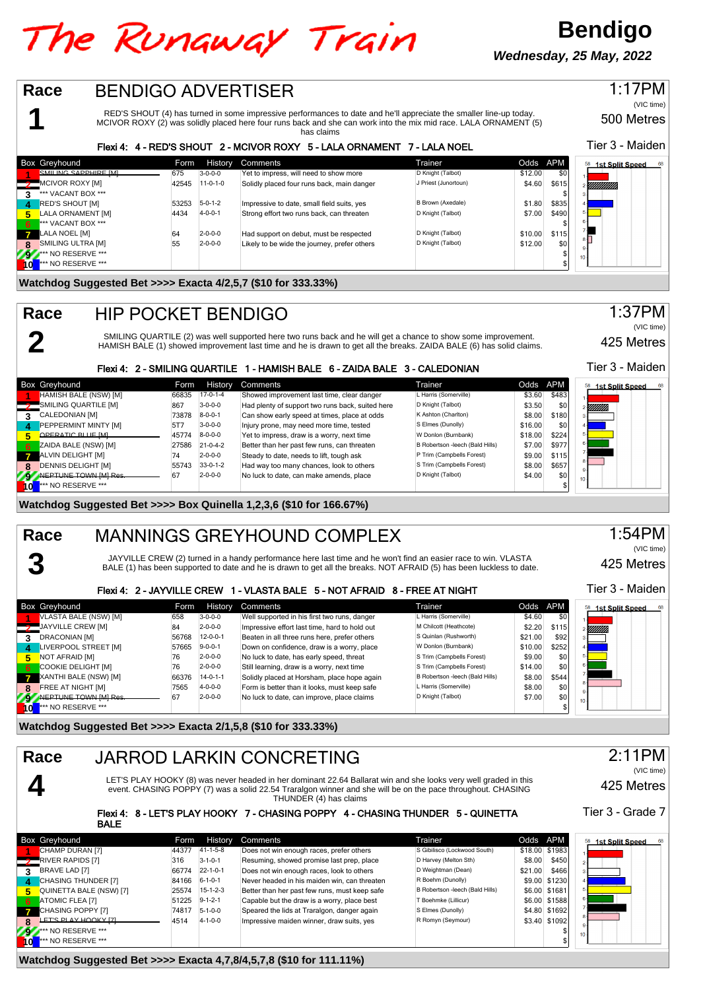# The Runaway Train

**Bendigo Wednesday, 25 May, 2022**

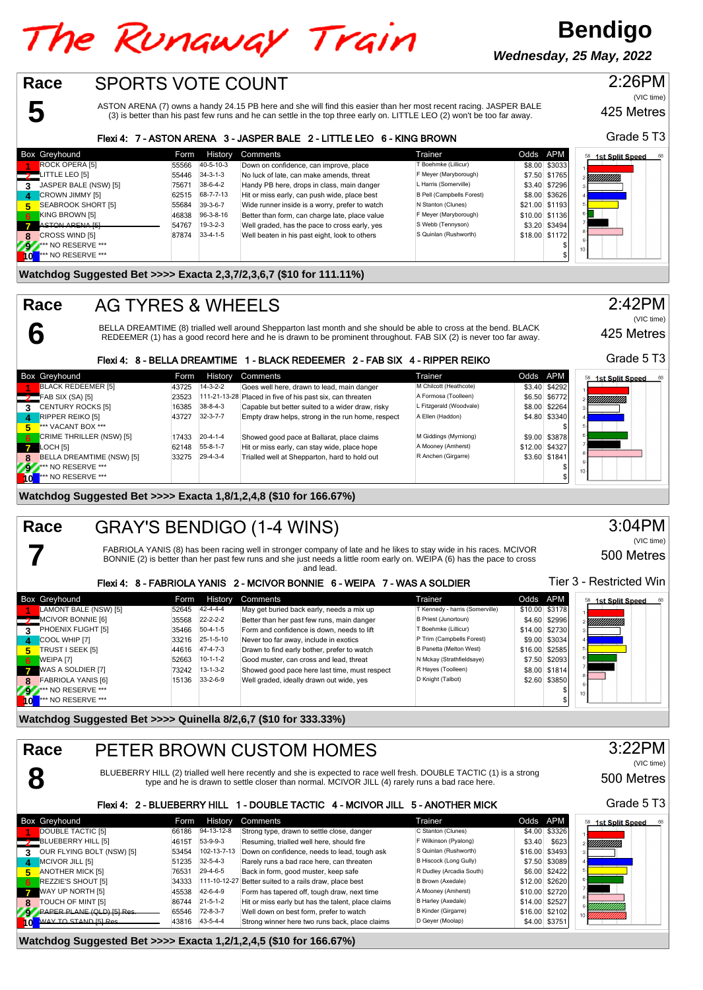# The Runaway Train

**Bendigo Wednesday, 25 May, 2022**

### **5** SPORTS VOTE COUNT 425 Metres Box Greyhound **Form History Comments** Comments Trainer Trainer Codds APM<br>**Form Form Times Trainer Comments** Trainer Comments Trainer Comments Trainer Trainer (Lillicur) (1980) \$3033 11 ROCK OPERA [5] 55566 40-5-10-3 Down on confidence, can improve, place T Boehmke (Lillicur) \$8.00 \$3033<br>11 **TTLE LEO** [5] 55446 34-3-1-3 No luck of late, can make amends, threat F Meyer (Maryborough) \$7.50 \$1765\_ LITTLE LEO [5] 55446 34-3-1-3 No luck of late, can make amends, threat F<sup>Meyer (Maryborough) \$7.50 \$1765 **31765**<br>3 JASPER BALE (NSW) [5] 75671 38-6-4-2 Handy PB here, drops in class, main danger Litarris (Somerville) \$3.40</sup> **3** JASPER BALE (NSW) [5] 75671 38-6-4-2 Handy PB here, drops in class, main danger L Harris (Somerville) \$3.40 \$7296<br>CROWN JIMMY [5] 62515 68-7-7-13 Hit or miss early, can push wide, place best B Pell (Campbells Forest) \$ **CROWN JIMMY [5]** 62515 68-7-7-13 Hit or miss early, can push wide, place best B Pell (Campbells Forest) \$8.00 \$3626<br>**SEABROOK SHORT [5] 55684 39-3-6-7** Wide runner inside is a worry, prefer to watch N Stanton (Clunes) \$21 **5** SEABROOK SHORT [5] 55684 39-3-6-7 Wide runner inside is a worry, prefer to watch N Stanton (Clunes) \$21.00 \$1193<br>**KING BROWN [5] KING BROWN 510.00 \$1136** 39-3-8-16 Better than form, can charge late, place value F Meyer ASTON ARENA (7) owns a handy 24.15 PB here and she will find this easier than her most recent racing. JASPER BALE (3) is better than his past few runs and he can settle in the top three early on. LITTLE LEO (2) won't be too far away. **Race** Flexi 4: 7 - ASTON ARENA 3 - JASPER BALE 2 - LITTLE LEO 6 - KING BROWN

**KING BROWN [5]** 46838 96-3-8-16 Better than form, can charge late, place value F Meyer (Maryborough) \$10.00 \$1136<br>ASTON ARENA [5] 53.20 \$3494 45838 96-32-3 Well graded, has the pace to cross early, yes S Webb (Tennyson) \$ **7** ASTON ARENA [5] 54767 19-3-2-3 Well graded, has the pace to cross early, yes S Webb (Tennyson) \$3.20 \$3494<br>CROSS WIND [5] 87874 33-4-1-5 Well beaten in his past eight, look to others S Quinlan (Rushworth) \$18.00 \$1172 ROSS WIND [5] 87874 87874 33-4-1-5 Well beaten in his past eight, look to others S Quinlan (Rushworth) \$18.00 \$1172<br>\*\* NO RESERVE \*\*\* **92.\*\*\*** NO RESERVE \*\*\* \$ **10** \*\*\* NO RESERVE \*\*\* \$

### **Watchdog Suggested Bet >>>> Exacta 2,3,7/2,3,6,7 (\$10 for 111.11%)**

### AG TYRES & WHEELS **Race**

**6**

**7**

BELLA DREAMTIME (8) trialled well around Shepparton last month and she should be able to cross at the bend. BLACK REDEEMER (1) has a good record here and he is drawn to be prominent throughout. FAB SIX (2) is never too far away.

### Flexi 4: 8 - BELLA DREAMTIME 1 - BLACK REDEEMER 2 - FAB SIX 4 - RIPPER REIKO

|              | <b>Box Greyhound</b>           | Form  | History          | Comments                                                  | Trainer                 | Odds APM |                | 1st Split Speed<br>68 |
|--------------|--------------------------------|-------|------------------|-----------------------------------------------------------|-------------------------|----------|----------------|-----------------------|
|              | BLACK REDEEMER [5]             | 43725 | $14 - 3 - 2 - 2$ | Goes well here, drawn to lead, main danger                | M Chilcott (Heathcote)  |          | \$3.40 \$4292  |                       |
|              | $\frac{1}{2}$ FAB SIX (SA) [5] | 23523 |                  | 111-21-13-28 Placed in five of his past six, can threaten | A Formosa (Toolleen)    |          | \$6.50 \$6772  | !!!!!!!!!!!!!!        |
|              | <b>CENTURY ROCKS [5]</b>       | 16385 | $38 - 8 - 4 - 3$ | Capable but better suited to a wider draw, risky          | L Fitzgerald (Woodvale) |          | \$8.00 \$2264  |                       |
| 4            | <b>RIPPER REIKO [5]</b>        | 43727 | $32 - 3 - 7 - 7$ | Empty draw helps, strong in the run home, respect         | A Ellen (Haddon)        |          | \$4.80 \$3340  |                       |
| 5.           | *** VACANT BOX ***             |       |                  |                                                           |                         |          |                |                       |
| 6.           | CRIME THRILLER (NSW) [5]       | 17433 | $20 - 4 - 1 - 4$ | Showed good pace at Ballarat, place claims                | M Giddings (Myrniong)   |          | \$9.00 \$3878  |                       |
| $\mathbf{z}$ | LOCH [5]                       | 62148 | $55 - 8 - 1 - 7$ | Hit or miss early, can stay wide, place hope              | A Mooney (Amherst)      |          | \$12.00 \$4327 |                       |
| 8            | BELLA DREAMTIME (NSW) [5]      | 33275 | $29-4-3-4$       | Trialled well at Shepparton, hard to hold out             | R Anchen (Girgarre)     |          | \$3.60 \$1841  |                       |
| 292          | <b>*** NO RESERVE ***</b>      |       |                  |                                                           |                         |          |                | 10 <sup>1</sup>       |
| <b>Tol</b>   | $**$ NO RESERVE ***            |       |                  |                                                           |                         |          |                |                       |

### **Watchdog Suggested Bet >>>> Exacta 1,8/1,2,4,8 (\$10 for 166.67%)**

### GRAY'S BENDIGO (1-4 WINS) **Race**

FABRIOLA YANIS (8) has been racing well in stronger company of late and he likes to stay wide in his races. MCIVOR<br>BONNIE (2) is better than her past few runs and she just needs a little room early on. WEIPA (6) has the pa and lead.

### Flexi 4: 8 - FABRIOLA YANIS 2 - MCIVOR BONNIE 6 - WEIPA 7 - WAS A SOLDIER

|              | <b>Box Greyhound</b>      | Form  | History          | Comments                                      | Trainer                         | Odds APM         | 1st Split Speed<br>68 |
|--------------|---------------------------|-------|------------------|-----------------------------------------------|---------------------------------|------------------|-----------------------|
|              | LAMONT BALE (NSW) [5]     | 52645 | $42 - 4 - 4 - 4$ | May get buried back early, needs a mix up     | T Kennedy - harris (Somerville) | \$10.00 \$3178   |                       |
|              | MCIVOR BONNIE [6]         | 35568 | $22 - 2 - 2 - 2$ | Better than her past few runs, main danger    | B Priest (Junortoun)            | \$4.60 \$2996    | !!!!!!!!!!!!!!        |
| 3            | PHOENIX FLIGHT [5]        | 35466 | $50-4-1-5$       | Form and confidence is down, needs to lift    | T Boehmke (Lillicur)            | \$14.00 \$2730   |                       |
| $\mathbf{A}$ | COOL WHIP [7]             | 33216 | 25-1-5-10        | Never too far away, include in exotics        | P Trim (Campbells Forest)       | \$9.00 \$3034    |                       |
| 5.           | TRUST I SEEK [5]          | 44616 | 47-4-7-3         | Drawn to find early bother, prefer to watch   | B Panetta (Melton West)         | $$16.00$ $$2585$ |                       |
| 6'           | WEIPA [7]                 | 52663 | $10-1-1-2$       | Good muster, can cross and lead, threat       | N Mckay (Strathfieldsaye)       | \$7.50 \$2093    |                       |
| $\mathbf{z}$ | WAS A SOLDIER [7]         | 73242 | $13 - 1 - 3 - 2$ | Showed good pace here last time, must respect | R Hayes (Toolleen)              | \$8.00 \$1814    |                       |
| $\mathbf{R}$ | <b>FABRIOLA YANIS [6]</b> | 15136 | $33 - 2 - 6 - 9$ | Well graded, ideally drawn out wide, yes      | D Knight (Talbot)               | \$2.60 \$3850    |                       |
| 292          | NO RESERVE ***            |       |                  |                                               |                                 |                  | $10 - 1$              |
|              | $**$ NO RESERVE ***       |       |                  |                                               |                                 |                  |                       |

### **Watchdog Suggested Bet >>>> Quinella 8/2,6,7 (\$10 for 333.33%)**

| Race<br>PETER BROWN CUSTOM HOMES |                                                                                |                        |                                                    |                               |                  |                        |  |  |  |
|----------------------------------|--------------------------------------------------------------------------------|------------------------|----------------------------------------------------|-------------------------------|------------------|------------------------|--|--|--|
|                                  | (VIC time)<br>500 Metres                                                       |                        |                                                    |                               |                  |                        |  |  |  |
|                                  | Flexi 4: 2 - BLUEBERRY HILL 1 - DOUBLE TACTIC 4 - MCIVOR JILL 5 - ANOTHER MICK |                        |                                                    |                               |                  |                        |  |  |  |
| <b>Box Greyhound</b>             |                                                                                | History<br><b>Form</b> | Comments                                           | Trainer                       | Odds APM         | <b>1st Split Speed</b> |  |  |  |
| DOUBLE TACTIC [5]                | 66186                                                                          | 94-13-12-8             | Strong type, drawn to settle close, danger         | C Stanton (Clunes)            | \$4.00 \$3326    |                        |  |  |  |
| <b>BLUEBERRY HILL [5]</b>        | 4615T                                                                          | 53-9-9-3               | Resuming, trialled well here, should fire          | F Wilkinson (Pyalong)         | \$3.40<br>\$623  |                        |  |  |  |
| OUR FLYING BOLT (NSW) [5]<br>3   | 53454                                                                          | 102-13-7-13            | Down on confidence, needs to lead, tough ask       | S Quinlan (Rushworth)         | \$16.00 \$3493   |                        |  |  |  |
| MCIVOR JILL [5]<br>$\mathbf{A}$  | 51235                                                                          | $32 - 5 - 4 - 3$       | Rarely runs a bad race here, can threaten          | <b>B Hiscock (Long Gully)</b> | \$7.50 \$3089    |                        |  |  |  |
| <b>ANOTHER MICK [5]</b><br>5     | 76531                                                                          | 29-4-6-5               | Back in form, good muster, keep safe               | R Dudley (Arcadia South)      | \$2422<br>\$6.00 |                        |  |  |  |
| REZZIE'S SHOUT [5]<br>-6         | 34333                                                                          | 111-10-12-27           | Better suited to a rails draw, place best          | B Brown (Axedale)             | \$12.00 \$2620   |                        |  |  |  |
| WAY UP NORTH [5]                 | 45538                                                                          | 42-6-4-9               | Form has tapered off, tough draw, next time        | A Mooney (Amherst)            | \$10.00 \$2720   |                        |  |  |  |
| TOUCH OF MINT [5]<br>8           | 86744                                                                          | $21 - 5 - 1 - 2$       | Hit or miss early but has the talent, place claims | B Harley (Axedale)            | \$14.00 \$2527   |                        |  |  |  |
| <b>PAPER PLANE (OLD) ISLRes</b>  | 65546                                                                          | 72-8-3-7               | Well down on best form, prefer to watch            | <b>B Kinder (Girgarre)</b>    | \$16.00 \$2102   |                        |  |  |  |
| WAY TO STAND [5] Res.            | 43816                                                                          | 43-5-4-4               | Strong winner here two runs back, place claims     | D Geyer (Moolap)              | \$4.00 \$3751    |                        |  |  |  |

### **Watchdog Suggested Bet >>>> Exacta 1,2/1,2,4,5 (\$10 for 166.67%)**

Grade 5 T3

2:26PM

(VIC time)

1st Split Speed W),

425 Metres

Grade 5 T3

2:42PM

(VIC time)

3:04PM (VIC time)

500 Metres

Tier 3 - Restricted Win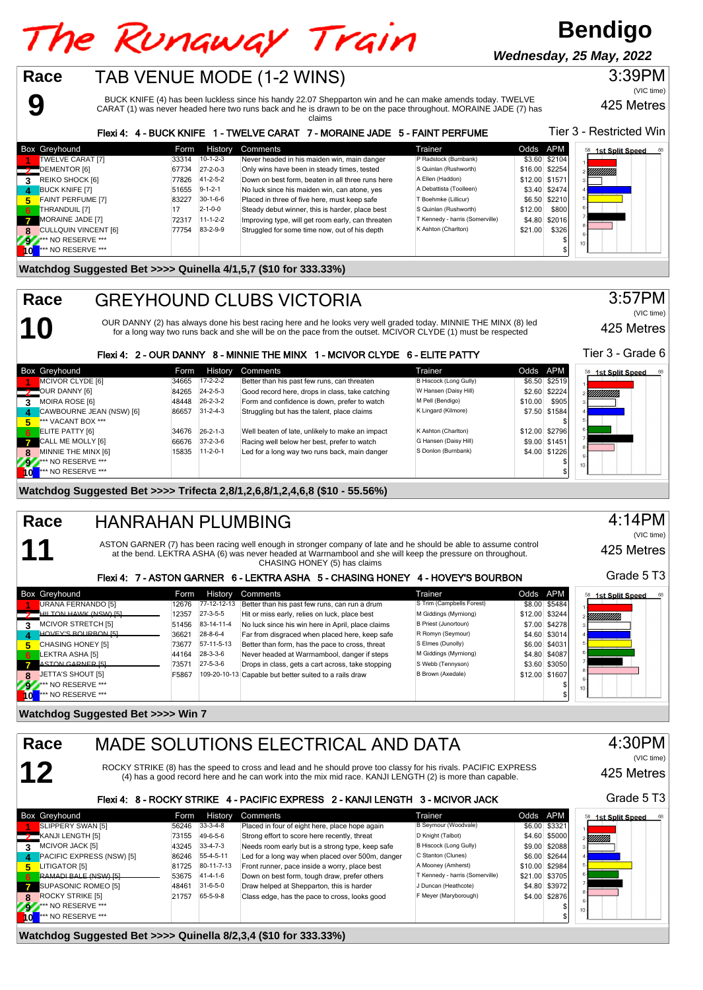# The Runaway Train

TAB VENUE MODE (1-2 WINS)

## **Bendigo**

**Wednesday, 25 May, 2022**

### 3:39PM

BUCK KNIFE (4) has been luckless since his handy 22.07 Shepparton win and he can make amends today. TWELVE CARAT (1) was never headed here two runs back and he is drawn to be on the pace throughout. MORAINE JADE (7) has 425 Metres (VIC time)

#### claims Tier 3 - Restricted Win Flexi 4: 4 - BUCK KNIFE 1 - TWELVE CARAT 7 - MORAINE JADE 5 - FAINT PERFUME Box Greyhound **Example 2008** Form History Comments **Form Accomments** Trainer Trainer Codds APM 58 1st Split Speed **1** TWELVE CARAT [7] 33314 10-1-2-3 Never headed in his maiden win, main danger P Radstock (Burnbank) \$3.60 \$2104<br>11 DEMENTOR [6] 57734 27-2-0-3 Only wins have been in steady times, tested S Quinlan (Rushworth) \$16.00 \$225 **2** DEMENTOR [6] 67734 27-2-0-3 Only wins have been in steady times, tested S Quinlan (Rushworth) \$16.00 \$2254<br>**2** REIKO SHOCK [6] 77826 41-2-5-2 Down on best form, beaten in all three runs here A Ellen (Haddon) \$12.00 \$15 **312.00 REIKO SHOCK [6] 17826 31-2-5-2** Down on best form, beaten in all three runs here A Ellen (Haddon) \$12.00 **\$1571**<br> **33.40 \$2474 BUCK KNIFE ITI** \$3.40 \$2474 **No luck since his maiden win. can atone. ves** A Debatt **4** BUCK KNIFE [7] 51655 9-1-2-1 No luck since his maiden win, can atone, yes A Debattista (Toolleen) \$3.40 \$2474<br>1932 FAINT PERFUME [7] 82.50 \$2210 83227 30-1-6-6 Placed in three of five here, must keep safe T Boehmke (Li **56.50 FAINT PERFUME [7]** 83227 80-1-6-6 Placed in three of five here, must keep safe T Boehmke (Lillicur) \$6.50 \$2210<br>THRANDUIL [7] 2-1-0-0 Steady debut winner, this is harder, place best S Quinlan (Rushworth) \$12.00 \$800 **FIHRANDUIL [7] 17** 2-1-0-0 Steady debut winner, this is harder, place best S Quinlan (Rushworth) \$12.00 \$800<br>MORAINE IADE [7] 11-1-2-2 Improving type will get room early can threaten T Kennedy-harris (Somerville) \$4.80 \$2 **MORAINE JADE [7]** 72317 11-1-2-2 Improving type, will get room early, can threaten T Kennedy - harris (Somerville) \$4.80 \$2016<br> **CULLQUIN VINCENT** [6] 77754 83-2-9-9 Struggled for some time now, out of his depth K Ashton **CULLQUIN VINCENT [6] <b>77754** 83-2-9-9 Struggled for some time now, out of his depth **K** Ashton (Charles Ashton) \$31.20 \$32.90 \$21.00 \$21.00 \$21.00 \$21.00 \$326.00 \$326.00 \$326.00 \$326.00 \$326.00 \$326.00 \$326.00 \$326.00 \$32 **92** \*\*\* NO RESERVE \*\*\* \$ **10** \*\*\* NO RESERVE \*\*\* \$

### **Watchdog Suggested Bet >>>> Quinella 4/1,5,7 (\$10 for 333.33%)**

**9**

**10**

**11**

**Race**

**Race**

## GREYHOUND CLUBS VICTORIA

OUR DANNY (2) has always done his best racing here and he looks very well graded today. MINNIE THE MINX (8) led for a long way two runs back and she will be on the pace from the outset. MCIVOR CLYDE (1) must be respected

3:57PM (VIC time)

425 Metres

Tier 3 - Grade 6

### Flexi 4: 2 - OUR DANNY 8 - MINNIE THE MINX 1 - MCIVOR CLYDE 6 - ELITE PATTY

|    | <b>Box Greyhound</b>     | Form  | <b>History</b>   | Comments                                        | Trainer                       | Odds APM |                | 58 1st Split Speed |
|----|--------------------------|-------|------------------|-------------------------------------------------|-------------------------------|----------|----------------|--------------------|
|    | MCIVOR CLYDE [6]         | 34665 | $17 - 2 - 2 - 2$ | Better than his past few runs, can threaten     | <b>B Hiscock (Long Gully)</b> |          | \$6.50 \$2519  |                    |
|    | OUR DANNY [6]            | 84265 | $24 - 2 - 5 - 3$ | Good record here, drops in class, take catching | W Hansen (Daisy Hill)         |          | \$2.60 \$2224  | YMMMM).            |
| 3  | MOIRA ROSE [6]           | 48448 | $26 - 2 - 3 - 2$ | Form and confidence is down, prefer to watch    | M Pell (Bendigo)              | \$10.00  | \$905          |                    |
| Δ  | CAWBOURNE JEAN (NSW) [6] | 86657 | $31 - 2 - 4 - 3$ | Struggling but has the talent, place claims     | K Lingard (Kilmore)           |          | \$7.50 \$1584  |                    |
| 5  | *** VACANT BOX ***       |       |                  |                                                 |                               |          |                |                    |
| -6 | <b>ELITE PATTY [6]</b>   | 34676 | $26 - 2 - 1 - 3$ | Well beaten of late, unlikely to make an impact | K Ashton (Charlton)           |          | \$12.00 \$2796 |                    |
|    | CALL ME MOLLY [6]        | 66676 | $37 - 2 - 3 - 6$ | Racing well below her best, prefer to watch     | G Hansen (Daisy Hill)         |          | \$9.00 \$1451  |                    |
| -8 | MINNIE THE MINX [6]      |       | 15835 11-2-0-1   | Led for a long way two runs back, main danger   | S Donlon (Burnbank)           |          | \$4.00 \$1226  |                    |
| 29 | ** NO RESERVE ***        |       |                  |                                                 |                               |          |                |                    |
|    | *** NO RESERVE ***       |       |                  |                                                 |                               |          |                |                    |

### **Watchdog Suggested Bet >>>> Trifecta 2,8/1,2,6,8/1,2,4,6,8 (\$10 - 55.56%)**

### HANRAHAN PLUMBING **Race**

ASTON GARNER (7) has been racing well enough in stronger company of late and he should be able to assume control at the bend. LEKTRA ASHA (6) was never headed at Warrnambool and she will keep the pressure on throughout. CHASING HONEY (5) has claims

### Flexi 4: 7 - ASTON GARNER 6 - LEKTRA ASHA 5 - CHASING HONEY 4 - HOVEY'S BOURBON

|               | <b>Box Greyhound</b>          | Form  | History          | Comments                                               | Trainer                   | Odds APM |                | 68<br>58<br><b>1st Split Speed</b> |
|---------------|-------------------------------|-------|------------------|--------------------------------------------------------|---------------------------|----------|----------------|------------------------------------|
|               | URANA FERNANDO [5]            | 12676 | 77-12-12-13      | Better than his past few runs, can run a drum          | S Trim (Campbells Forest) |          | \$8.00 \$5484  |                                    |
|               | HILTON HAWK (NSW) [5]         | 12357 | $27-3-5-5$       | Hit or miss early, relies on luck, place best          | M Giddings (Myrniong)     |          | \$12.00 \$3244 | YMMMM).                            |
|               | <b>MCIVOR STRETCH [5]</b>     | 51456 | 83-14-11-4       | No luck since his win here in April, place claims      | B Priest (Junortoun)      |          | \$7.00 \$4278  |                                    |
| д             | HOVEY'S BOURBON [5]           | 36621 | $28 - 8 - 6 - 4$ | Far from disgraced when placed here, keep safe         | R Romyn (Seymour)         |          | \$4.60 \$3014  |                                    |
| 5.            | <b>CHASING HONEY [5]</b>      | 73677 | 57-11-5-13       | Better than form, has the pace to cross, threat        | S Elmes (Dunolly)         |          | \$6.00 \$4031  |                                    |
| 6             | LEKTRA ASHA [5]               | 44164 | $28-3-3-6$       | Never headed at Warrnambool, danger if steps           | M Giddings (Myrniong)     |          | \$4.80 \$4087  |                                    |
|               | ASTON GARNER [5]              | 73571 | $27 - 5 - 3 - 6$ | Drops in class, gets a cart across, take stopping      | S Webb (Tennyson)         |          | \$3.60 \$3050  |                                    |
| 8             | JETTA'S SHOUT [5]             | F5867 |                  | 109-20-10-13 Capable but better suited to a rails draw | B Brown (Axedale)         |          | \$12.00 \$1607 |                                    |
|               | NO RESERVE ***                |       |                  |                                                        |                           |          |                | $10 -$                             |
| $\frac{1}{2}$ | <sup>***</sup> NO RESERVE *** |       |                  |                                                        |                           |          |                |                                    |

### **Watchdog Suggested Bet >>>> Win 7**

|              | Race<br>MADE SOLUTIONS ELECTRICAL AND DATA<br>12<br>ROCKY STRIKE (8) has the speed to cross and lead and he should prove too classy for his rivals. PACIFIC EXPRESS<br>(4) has a good record here and he can work into the mix mid race. KANJI LENGTH (2) is more than capable. |       |                  |                                                                                |                                 |          |                |                              |  |
|--------------|---------------------------------------------------------------------------------------------------------------------------------------------------------------------------------------------------------------------------------------------------------------------------------|-------|------------------|--------------------------------------------------------------------------------|---------------------------------|----------|----------------|------------------------------|--|
|              |                                                                                                                                                                                                                                                                                 |       |                  | Flexi 4: 8 - ROCKY STRIKE 4 - PACIFIC EXPRESS 2 - KANJI LENGTH 3 - MCIVOR JACK |                                 |          |                | Grade 5 T3                   |  |
|              | <b>Box Greyhound</b>                                                                                                                                                                                                                                                            | Form  | History          | Comments                                                                       | Trainer                         | Odds APM |                | 58<br><b>1st Split Speed</b> |  |
|              | SLIPPERY SWAN [5]                                                                                                                                                                                                                                                               | 56246 | $33-3-4-8$       | Placed in four of eight here, place hope again                                 | B Seymour (Woodvale)            |          | \$6.00 \$3321  |                              |  |
|              | XANJI LENGTH [5]                                                                                                                                                                                                                                                                | 73155 | 49-6-5-6         | Strong effort to score here recently, threat                                   | D Knight (Talbot)               |          | \$4.60 \$5000  | Millilli.                    |  |
| 3            | MCIVOR JACK [5]                                                                                                                                                                                                                                                                 | 43245 | $33 - 4 - 7 - 3$ | Needs room early but is a strong type, keep safe                               | B Hiscock (Long Gully)          |          | \$9.00 \$2088  |                              |  |
| $\mathbf{A}$ | PACIFIC EXPRESS (NSW) [5]                                                                                                                                                                                                                                                       | 86246 | 55-4-5-11        | Led for a long way when placed over 500m, danger                               | C Stanton (Clunes)              |          | \$6.00 \$2644  |                              |  |
| 5.           | LITIGATOR [5]                                                                                                                                                                                                                                                                   | 81725 | 80-11-7-13       | Front runner, pace inside a worry, place best                                  | A Mooney (Amherst)              |          | \$10.00 \$2984 |                              |  |
| 6            | RAMADI BALE (NSW) [5]                                                                                                                                                                                                                                                           | 53675 | $41 - 4 - 1 - 6$ | Down on best form, tough draw, prefer others                                   | T Kennedy - harris (Somerville) |          | \$21.00 \$3705 |                              |  |
|              | SUPASONIC ROMEO [5]                                                                                                                                                                                                                                                             | 48461 | $31 - 6 - 5 - 0$ | Draw helped at Shepparton, this is harder                                      | J Duncan (Heathcote)            |          | \$4.80 \$3972  |                              |  |

82876 Class edge, has the pace to cross, looks good F Meyer (Maryborough) \$4.00 \$2876

**7** SUPASONIC ROMEO [5] 48461 31-6-5-0 Draw helped at Shepparton, this is harder J Duncan (Heathcote) \$4.80 \$3972<br> **7** ROCKY STRIKE [5] 21757 65-5-9-8 Class edge, has the pace to cross, looks good F Meyer (Maryborough) \$4.

**9** \*\*\* NO RESERVE \*\*\* \$ **10 \*\*\*** NO RESERVE \*\*\* \$

**Watchdog Suggested Bet >>>> Quinella 8/2,3,4 (\$10 for 333.33%)**

## 4:14PM

(VIC time)

425 Metres

Grade 5 T3